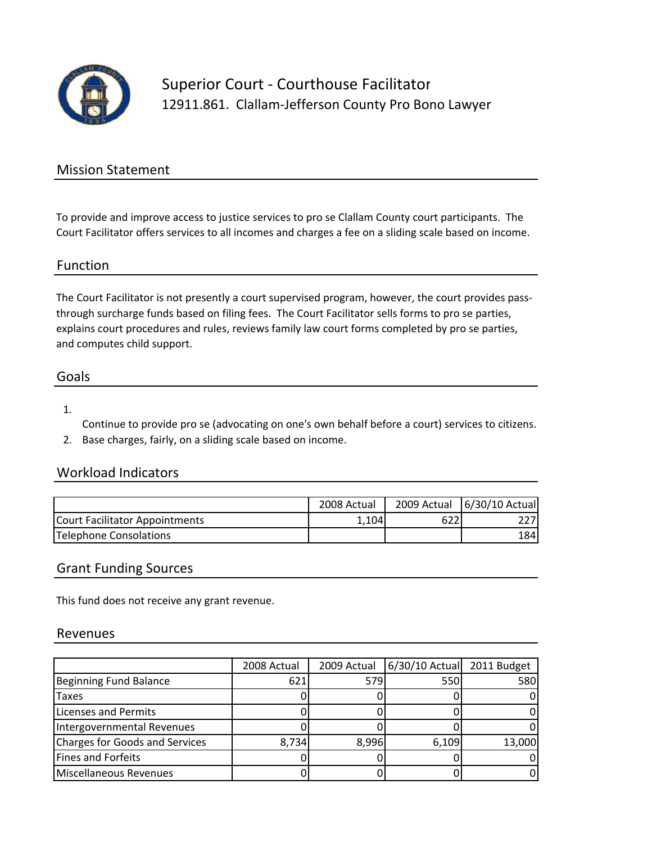

Superior Court ‐ Courthouse Facilitator 12911.861. Clallam-Jefferson County Pro Bono Lawyer

## Mission Statement

To provide and improve access to justice services to pro se Clallam County court participants. The Court Facilitator offers services to all incomes and charges a fee on a sliding scale based on income.

## Function

The Court Facilitator is not presently a court supervised program, however, the court provides passthrough surcharge funds based on filing fees. The Court Facilitator sells forms to pro se parties, explains court procedures and rules, reviews family law court forms completed by pro se parties, and computes child support.

## Goals

#### 1.

Continue to provide pro se (advocating on one's own behalf before a court) services to citizens.

2. Base charges, fairly, on a sliding scale based on income.

# Workload Indicators

|                                | 2008 Actual |     | 2009 Actual   6/30/10 Actual |
|--------------------------------|-------------|-----|------------------------------|
| Court Facilitator Appointments | 1.104       | 622 |                              |
| Telephone Consolations         |             |     | 184I                         |

## Grant Funding Sources

This fund does not receive any grant revenue.

#### Revenues

|                                       | 2008 Actual | 2009 Actual | 6/30/10 Actual | 2011 Budget |
|---------------------------------------|-------------|-------------|----------------|-------------|
| <b>Beginning Fund Balance</b>         | 621         | 579         | 550            | 580         |
| <b>Taxes</b>                          |             |             |                |             |
| <b>Licenses and Permits</b>           |             |             |                |             |
| Intergovernmental Revenues            |             |             |                |             |
| <b>Charges for Goods and Services</b> | 8.734       | 8.996       | 6,109          | 13,000      |
| <b>Fines and Forfeits</b>             |             |             |                |             |
| Miscellaneous Revenues                |             |             |                |             |